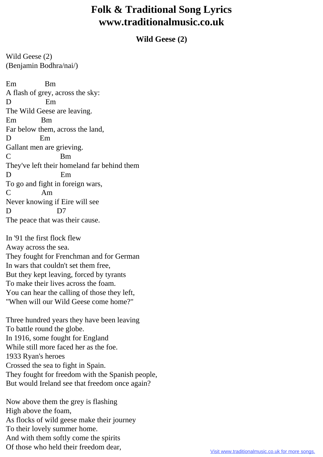## **Folk & Traditional Song Lyrics www.traditionalmusic.co.uk**

**Wild Geese (2)**

Wild Geese (2) (Benjamin Bodhra/nai/)

Em Bm A flash of grey, across the sky: D Em The Wild Geese are leaving. Em Bm Far below them, across the land, D Em Gallant men are grieving. C Bm They've left their homeland far behind them D Em To go and fight in foreign wars, C Am Never knowing if Eire will see D D7 The peace that was their cause.

In '91 the first flock flew Away across the sea. They fought for Frenchman and for German In wars that couldn't set them free, But they kept leaving, forced by tyrants To make their lives across the foam. You can hear the calling of those they left, "When will our Wild Geese come home?"

Three hundred years they have been leaving To battle round the globe. In 1916, some fought for England While still more faced her as the foe. 1933 Ryan's heroes Crossed the sea to fight in Spain. They fought for freedom with the Spanish people, But would Ireland see that freedom once again?

Now above them the grey is flashing High above the foam, As flocks of wild geese make their journey To their lovely summer home. And with them softly come the spirits Of those who held their freedom dear,